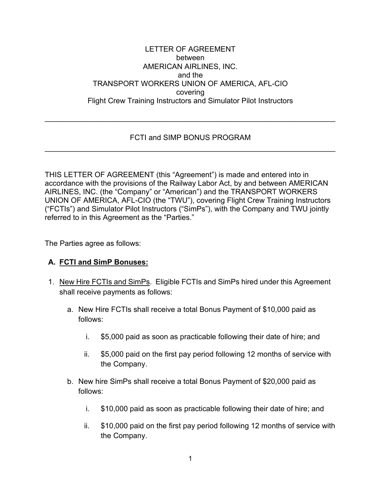#### LETTER OF AGREEMENT between AMERICAN AIRLINES, INC. and the TRANSPORT WORKERS UNION OF AMERICA, AFL-CIO covering Flight Crew Training Instructors and Simulator Pilot Instructors

# FCTI and SIMP BONUS PROGRAM \_\_\_\_\_\_\_\_\_\_\_\_\_\_\_\_\_\_\_\_\_\_\_\_\_\_\_\_\_\_\_\_\_\_\_\_\_\_\_\_\_\_\_\_\_\_\_\_\_\_\_\_\_\_\_\_\_\_\_\_\_\_\_\_\_\_\_\_\_\_

\_\_\_\_\_\_\_\_\_\_\_\_\_\_\_\_\_\_\_\_\_\_\_\_\_\_\_\_\_\_\_\_\_\_\_\_\_\_\_\_\_\_\_\_\_\_\_\_\_\_\_\_\_\_\_\_\_\_\_\_\_\_\_\_\_\_\_\_\_\_

THIS LETTER OF AGREEMENT (this "Agreement") is made and entered into in accordance with the provisions of the Railway Labor Act, by and between AMERICAN AIRLINES, INC. (the "Company" or "American") and the TRANSPORT WORKERS UNION OF AMERICA, AFL-CIO (the "TWU"), covering Flight Crew Training Instructors ("FCTIs") and Simulator Pilot Instructors ("SimPs"), with the Company and TWU jointly referred to in this Agreement as the "Parties."

The Parties agree as follows:

### **A. FCTI and SimP Bonuses:**

- 1. New Hire FCTIs and SimPs. Eligible FCTIs and SimPs hired under this Agreement shall receive payments as follows:
	- a. New Hire FCTIs shall receive a total Bonus Payment of \$10,000 paid as follows:
		- i. \$5,000 paid as soon as practicable following their date of hire; and
		- ii. \$5,000 paid on the first pay period following 12 months of service with the Company.
	- b. New hire SimPs shall receive a total Bonus Payment of \$20,000 paid as follows:
		- i. \$10,000 paid as soon as practicable following their date of hire; and
		- ii. \$10,000 paid on the first pay period following 12 months of service with the Company.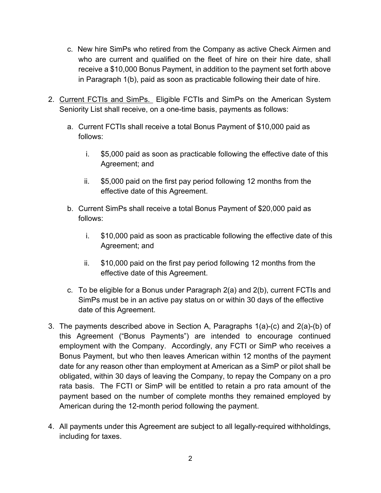- c. New hire SimPs who retired from the Company as active Check Airmen and who are current and qualified on the fleet of hire on their hire date, shall receive a \$10,000 Bonus Payment, in addition to the payment set forth above in Paragraph 1(b), paid as soon as practicable following their date of hire.
- 2. Current FCTIs and SimPs. Eligible FCTIs and SimPs on the American System Seniority List shall receive, on a one-time basis, payments as follows:
	- a. Current FCTIs shall receive a total Bonus Payment of \$10,000 paid as follows:
		- i. \$5,000 paid as soon as practicable following the effective date of this Agreement; and
		- ii. \$5,000 paid on the first pay period following 12 months from the effective date of this Agreement.
	- b. Current SimPs shall receive a total Bonus Payment of \$20,000 paid as follows:
		- i. \$10,000 paid as soon as practicable following the effective date of this Agreement; and
		- ii. \$10,000 paid on the first pay period following 12 months from the effective date of this Agreement.
	- c. To be eligible for a Bonus under Paragraph 2(a) and 2(b), current FCTIs and SimPs must be in an active pay status on or within 30 days of the effective date of this Agreement.
- 3. The payments described above in Section A, Paragraphs 1(a)-(c) and 2(a)-(b) of this Agreement ("Bonus Payments") are intended to encourage continued employment with the Company. Accordingly, any FCTI or SimP who receives a Bonus Payment, but who then leaves American within 12 months of the payment date for any reason other than employment at American as a SimP or pilot shall be obligated, within 30 days of leaving the Company, to repay the Company on a pro rata basis. The FCTI or SimP will be entitled to retain a pro rata amount of the payment based on the number of complete months they remained employed by American during the 12-month period following the payment.
- 4. All payments under this Agreement are subject to all legally-required withholdings, including for taxes.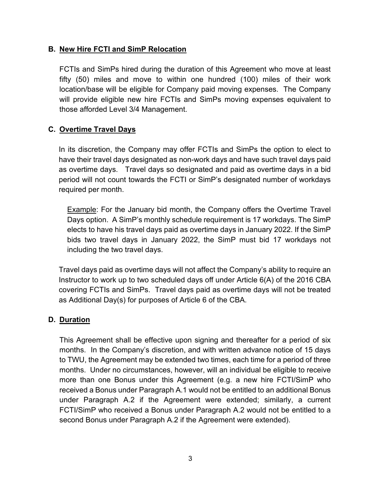### **B. New Hire FCTI and SimP Relocation**

FCTIs and SimPs hired during the duration of this Agreement who move at least fifty (50) miles and move to within one hundred (100) miles of their work location/base will be eligible for Company paid moving expenses. The Company will provide eligible new hire FCTIs and SimPs moving expenses equivalent to those afforded Level 3/4 Management.

# **C. Overtime Travel Days**

In its discretion, the Company may offer FCTIs and SimPs the option to elect to have their travel days designated as non-work days and have such travel days paid as overtime days. Travel days so designated and paid as overtime days in a bid period will not count towards the FCTI or SimP's designated number of workdays required per month.

Example: For the January bid month, the Company offers the Overtime Travel Days option. A SimP's monthly schedule requirement is 17 workdays. The SimP elects to have his travel days paid as overtime days in January 2022. If the SimP bids two travel days in January 2022, the SimP must bid 17 workdays not including the two travel days.

Travel days paid as overtime days will not affect the Company's ability to require an Instructor to work up to two scheduled days off under Article 6(A) of the 2016 CBA covering FCTIs and SimPs. Travel days paid as overtime days will not be treated as Additional Day(s) for purposes of Article 6 of the CBA.

### **D. Duration**

This Agreement shall be effective upon signing and thereafter for a period of six months. In the Company's discretion, and with written advance notice of 15 days to TWU, the Agreement may be extended two times, each time for a period of three months. Under no circumstances, however, will an individual be eligible to receive more than one Bonus under this Agreement (e.g. a new hire FCTI/SimP who received a Bonus under Paragraph A.1 would not be entitled to an additional Bonus under Paragraph A.2 if the Agreement were extended; similarly, a current FCTI/SimP who received a Bonus under Paragraph A.2 would not be entitled to a second Bonus under Paragraph A.2 if the Agreement were extended).